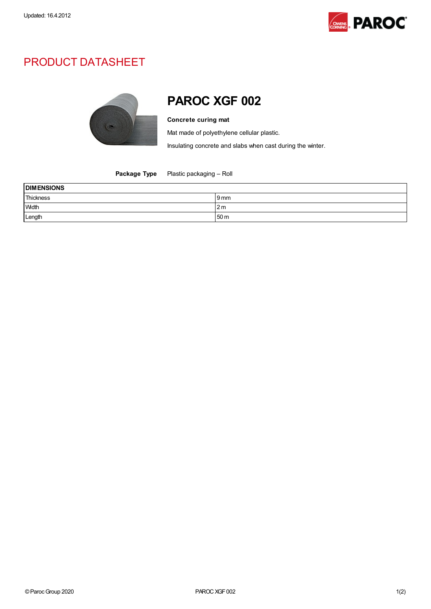

## PRODUCT DATASHEET



## PAROC XGF 002

## Concrete curing mat

Mat made of polyethylene cellular plastic.

Insulating concrete and slabs when cast during the winter.

Package Type Plastic packaging - Roll

| <b>DIMENSIONS</b> |                 |  |
|-------------------|-----------------|--|
| Thickness         | 9 mm            |  |
| Width             | 2 m             |  |
| Length            | 50 <sub>m</sub> |  |